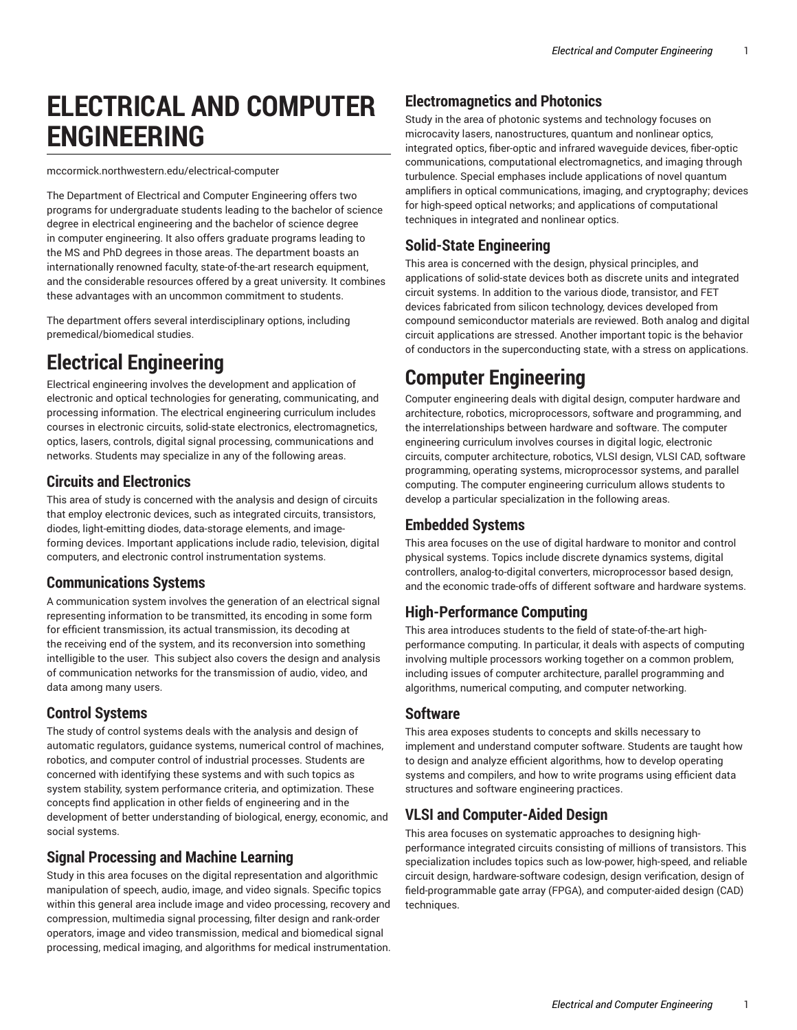# **ELECTRICAL AND COMPUTER ENGINEERING**

mccormick.northwestern.edu/electrical-computer

The Department of Electrical and Computer Engineering offers two programs for undergraduate students leading to the bachelor of science degree in electrical engineering and the bachelor of science degree in computer engineering. It also offers graduate programs leading to the MS and PhD degrees in those areas. The department boasts an internationally renowned faculty, state-of-the-art research equipment, and the considerable resources offered by a great university. It combines these advantages with an uncommon commitment to students.

The department offers several interdisciplinary options, including premedical/biomedical studies.

## **Electrical Engineering**

Electrical engineering involves the development and application of electronic and optical technologies for generating, communicating, and processing information. The electrical engineering curriculum includes courses in electronic circuits, solid-state electronics, electromagnetics, optics, lasers, controls, digital signal processing, communications and networks. Students may specialize in any of the following areas.

### **Circuits and Electronics**

This area of study is concerned with the analysis and design of circuits that employ electronic devices, such as integrated circuits, transistors, diodes, light-emitting diodes, data-storage elements, and imageforming devices. Important applications include radio, television, digital computers, and electronic control instrumentation systems.

### **Communications Systems**

A communication system involves the generation of an electrical signal representing information to be transmitted, its encoding in some form for efficient transmission, its actual transmission, its decoding at the receiving end of the system, and its reconversion into something intelligible to the user. This subject also covers the design and analysis of communication networks for the transmission of audio, video, and data among many users.

### **Control Systems**

The study of control systems deals with the analysis and design of automatic regulators, guidance systems, numerical control of machines, robotics, and computer control of industrial processes. Students are concerned with identifying these systems and with such topics as system stability, system performance criteria, and optimization. These concepts find application in other fields of engineering and in the development of better understanding of biological, energy, economic, and social systems.

### **Signal Processing and Machine Learning**

Study in this area focuses on the digital representation and algorithmic manipulation of speech, audio, image, and video signals. Specific topics within this general area include image and video processing, recovery and compression, multimedia signal processing, filter design and rank-order operators, image and video transmission, medical and biomedical signal processing, medical imaging, and algorithms for medical instrumentation.

### **Electromagnetics and Photonics**

Study in the area of photonic systems and technology focuses on microcavity lasers, nanostructures, quantum and nonlinear optics, integrated optics, fiber-optic and infrared waveguide devices, fiber-optic communications, computational electromagnetics, and imaging through turbulence. Special emphases include applications of novel quantum amplifiers in optical communications, imaging, and cryptography; devices for high-speed optical networks; and applications of computational techniques in integrated and nonlinear optics.

### **Solid-State Engineering**

This area is concerned with the design, physical principles, and applications of solid-state devices both as discrete units and integrated circuit systems. In addition to the various diode, transistor, and FET devices fabricated from silicon technology, devices developed from compound semiconductor materials are reviewed. Both analog and digital circuit applications are stressed. Another important topic is the behavior of conductors in the superconducting state, with a stress on applications.

## **Computer Engineering**

Computer engineering deals with digital design, computer hardware and architecture, robotics, microprocessors, software and programming, and the interrelationships between hardware and software. The computer engineering curriculum involves courses in digital logic, electronic circuits, computer architecture, robotics, VLSI design, VLSI CAD, software programming, operating systems, microprocessor systems, and parallel computing. The computer engineering curriculum allows students to develop a particular specialization in the following areas.

### **Embedded Systems**

This area focuses on the use of digital hardware to monitor and control physical systems. Topics include discrete dynamics systems, digital controllers, analog-to-digital converters, microprocessor based design, and the economic trade-offs of different software and hardware systems.

### **High-Performance Computing**

This area introduces students to the field of state-of-the-art highperformance computing. In particular, it deals with aspects of computing involving multiple processors working together on a common problem, including issues of computer architecture, parallel programming and algorithms, numerical computing, and computer networking.

### **Software**

This area exposes students to concepts and skills necessary to implement and understand computer software. Students are taught how to design and analyze efficient algorithms, how to develop operating systems and compilers, and how to write programs using efficient data structures and software engineering practices.

### **VLSI and Computer-Aided Design**

This area focuses on systematic approaches to designing highperformance integrated circuits consisting of millions of transistors. This specialization includes topics such as low-power, high-speed, and reliable circuit design, hardware-software codesign, design verification, design of field-programmable gate array (FPGA), and computer-aided design (CAD) techniques.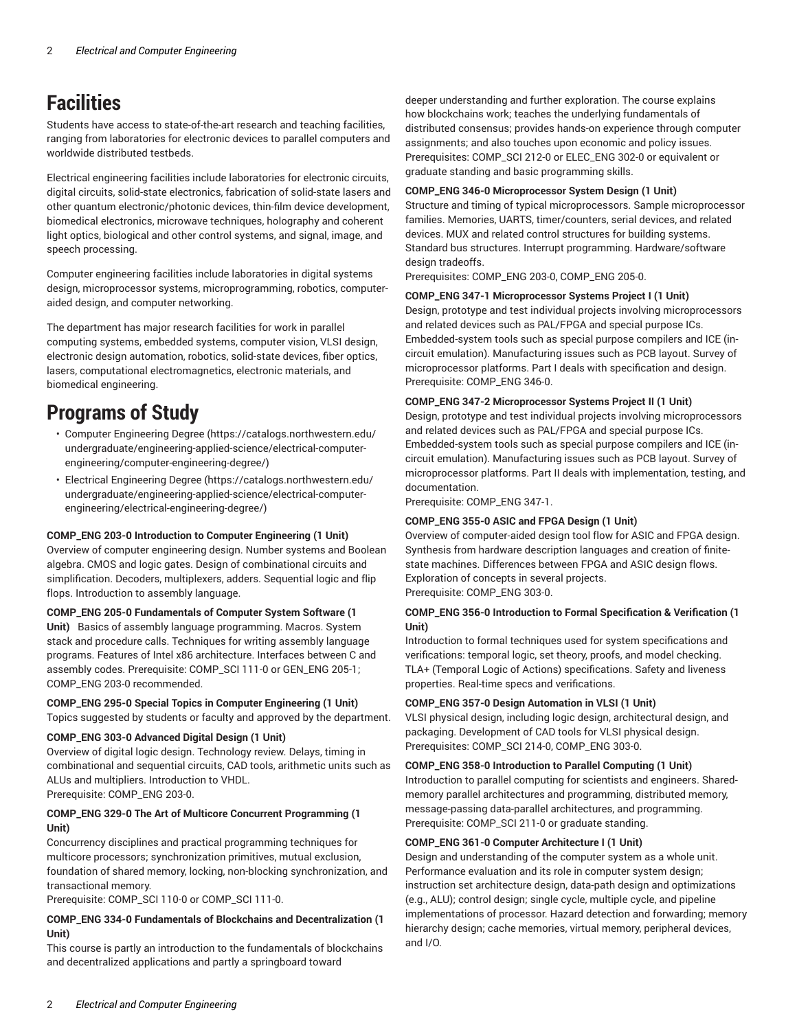## **Facilities**

Students have access to state-of-the-art research and teaching facilities, ranging from laboratories for electronic devices to parallel computers and worldwide distributed testbeds.

Electrical engineering facilities include laboratories for electronic circuits, digital circuits, solid-state electronics, fabrication of solid-state lasers and other quantum electronic/photonic devices, thin-film device development, biomedical electronics, microwave techniques, holography and coherent light optics, biological and other control systems, and signal, image, and speech processing.

Computer engineering facilities include laboratories in digital systems design, microprocessor systems, microprogramming, robotics, computeraided design, and computer networking.

The department has major research facilities for work in parallel computing systems, embedded systems, computer vision, VLSI design, electronic design automation, robotics, solid-state devices, fiber optics, lasers, computational electromagnetics, electronic materials, and biomedical engineering.

## **Programs of Study**

- Computer [Engineering](https://catalogs.northwestern.edu/undergraduate/engineering-applied-science/electrical-computer-engineering/computer-engineering-degree/) Degree ([https://catalogs.northwestern.edu/](https://catalogs.northwestern.edu/undergraduate/engineering-applied-science/electrical-computer-engineering/computer-engineering-degree/) [undergraduate/engineering-applied-science/electrical-computer](https://catalogs.northwestern.edu/undergraduate/engineering-applied-science/electrical-computer-engineering/computer-engineering-degree/)[engineering/computer-engineering-degree/](https://catalogs.northwestern.edu/undergraduate/engineering-applied-science/electrical-computer-engineering/computer-engineering-degree/))
- Electrical [Engineering](https://catalogs.northwestern.edu/undergraduate/engineering-applied-science/electrical-computer-engineering/electrical-engineering-degree/) Degree ([https://catalogs.northwestern.edu/](https://catalogs.northwestern.edu/undergraduate/engineering-applied-science/electrical-computer-engineering/electrical-engineering-degree/) [undergraduate/engineering-applied-science/electrical-computer](https://catalogs.northwestern.edu/undergraduate/engineering-applied-science/electrical-computer-engineering/electrical-engineering-degree/)[engineering/electrical-engineering-degree/\)](https://catalogs.northwestern.edu/undergraduate/engineering-applied-science/electrical-computer-engineering/electrical-engineering-degree/)

#### **COMP\_ENG 203-0 Introduction to Computer Engineering (1 Unit)**

Overview of computer engineering design. Number systems and Boolean algebra. CMOS and logic gates. Design of combinational circuits and simplification. Decoders, multiplexers, adders. Sequential logic and flip flops. Introduction to assembly language.

#### **COMP\_ENG 205-0 Fundamentals of Computer System Software (1**

Unit) Basics of assembly language programming. Macros. System stack and procedure calls. Techniques for writing assembly language programs. Features of Intel x86 architecture. Interfaces between C and assembly codes. Prerequisite: COMP\_SCI 111-0 or GEN\_ENG 205-1; COMP\_ENG 203-0 recommended.

**COMP\_ENG 295-0 Special Topics in Computer Engineering (1 Unit)** Topics suggested by students or faculty and approved by the department.

#### **COMP\_ENG 303-0 Advanced Digital Design (1 Unit)**

Overview of digital logic design. Technology review. Delays, timing in combinational and sequential circuits, CAD tools, arithmetic units such as ALUs and multipliers. Introduction to VHDL. Prerequisite: COMP\_ENG 203-0.

### **COMP\_ENG 329-0 The Art of Multicore Concurrent Programming (1 Unit)**

Concurrency disciplines and practical programming techniques for multicore processors; synchronization primitives, mutual exclusion, foundation of shared memory, locking, non-blocking synchronization, and transactional memory.

Prerequisite: COMP\_SCI 110-0 or COMP\_SCI 111-0.

### **COMP\_ENG 334-0 Fundamentals of Blockchains and Decentralization (1 Unit)**

This course is partly an introduction to the fundamentals of blockchains and decentralized applications and partly a springboard toward

deeper understanding and further exploration. The course explains how blockchains work; teaches the underlying fundamentals of distributed consensus; provides hands-on experience through computer assignments; and also touches upon economic and policy issues. Prerequisites: COMP\_SCI 212-0 or ELEC\_ENG 302-0 or equivalent or graduate standing and basic programming skills.

#### **COMP\_ENG 346-0 Microprocessor System Design (1 Unit)**

Structure and timing of typical microprocessors. Sample microprocessor families. Memories, UARTS, timer/counters, serial devices, and related devices. MUX and related control structures for building systems. Standard bus structures. Interrupt programming. Hardware/software design tradeoffs.

Prerequisites: COMP\_ENG 203-0, COMP\_ENG 205-0.

### **COMP\_ENG 347-1 Microprocessor Systems Project I (1 Unit)**

Design, prototype and test individual projects involving microprocessors and related devices such as PAL/FPGA and special purpose ICs. Embedded-system tools such as special purpose compilers and ICE (incircuit emulation). Manufacturing issues such as PCB layout. Survey of microprocessor platforms. Part I deals with specification and design. Prerequisite: COMP\_ENG 346-0.

### **COMP\_ENG 347-2 Microprocessor Systems Project II (1 Unit)**

Design, prototype and test individual projects involving microprocessors and related devices such as PAL/FPGA and special purpose ICs. Embedded-system tools such as special purpose compilers and ICE (incircuit emulation). Manufacturing issues such as PCB layout. Survey of microprocessor platforms. Part II deals with implementation, testing, and documentation.

Prerequisite: COMP\_ENG 347-1.

### **COMP\_ENG 355-0 ASIC and FPGA Design (1 Unit)**

Overview of computer-aided design tool flow for ASIC and FPGA design. Synthesis from hardware description languages and creation of finitestate machines. Differences between FPGA and ASIC design flows. Exploration of concepts in several projects. Prerequisite: COMP\_ENG 303-0.

### **COMP\_ENG 356-0 Introduction to Formal Specification & Verification (1 Unit)**

Introduction to formal techniques used for system specifications and verifications: temporal logic, set theory, proofs, and model checking. TLA+ (Temporal Logic of Actions) specifications. Safety and liveness properties. Real-time specs and verifications.

### **COMP\_ENG 357-0 Design Automation in VLSI (1 Unit)**

VLSI physical design, including logic design, architectural design, and packaging. Development of CAD tools for VLSI physical design. Prerequisites: COMP\_SCI 214-0, COMP\_ENG 303-0.

#### **COMP\_ENG 358-0 Introduction to Parallel Computing (1 Unit)**

Introduction to parallel computing for scientists and engineers. Sharedmemory parallel architectures and programming, distributed memory, message-passing data-parallel architectures, and programming. Prerequisite: COMP\_SCI 211-0 or graduate standing.

### **COMP\_ENG 361-0 Computer Architecture I (1 Unit)**

Design and understanding of the computer system as a whole unit. Performance evaluation and its role in computer system design; instruction set architecture design, data-path design and optimizations (e.g., ALU); control design; single cycle, multiple cycle, and pipeline implementations of processor. Hazard detection and forwarding; memory hierarchy design; cache memories, virtual memory, peripheral devices, and I/O.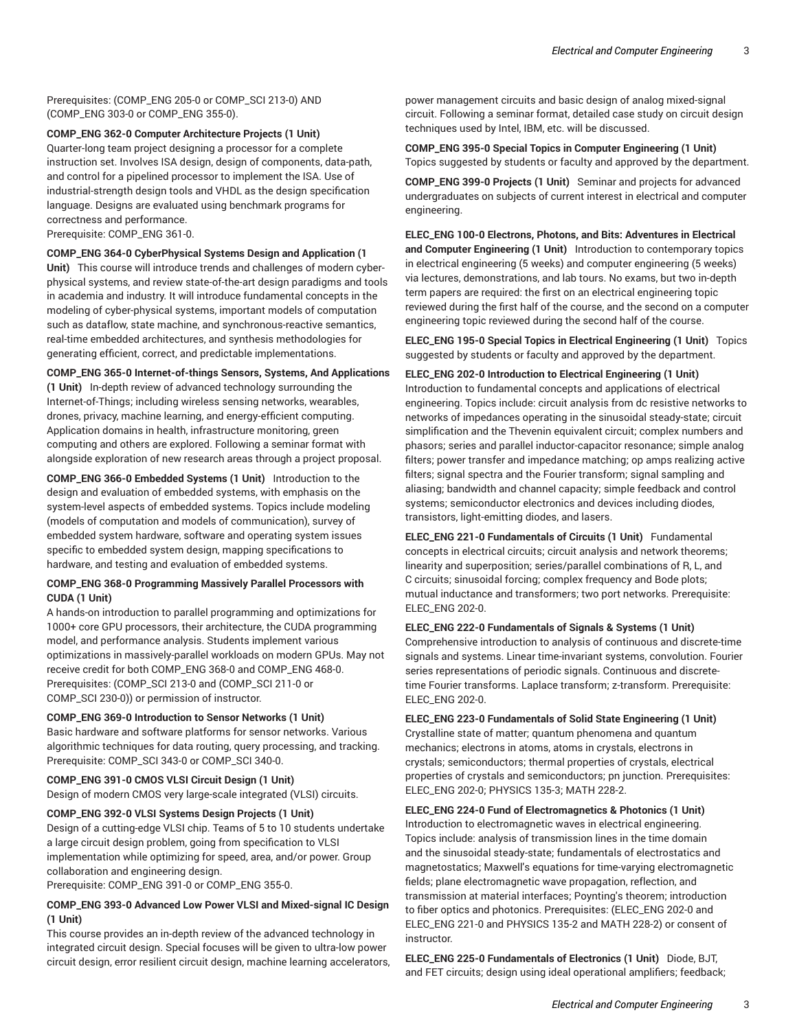Prerequisites: (COMP\_ENG 205-0 or COMP\_SCI 213-0) AND (COMP\_ENG 303-0 or COMP\_ENG 355-0).

**COMP\_ENG 362-0 Computer Architecture Projects (1 Unit)**  Quarter-long team project designing a processor for a complete instruction set. Involves ISA design, design of components, data-path, and control for a pipelined processor to implement the ISA. Use of industrial-strength design tools and VHDL as the design specification language. Designs are evaluated using benchmark programs for correctness and performance. Prerequisite: COMP\_ENG 361-0.

**COMP\_ENG 364-0 CyberPhysical Systems Design and Application (1** Unit) This course will introduce trends and challenges of modern cyber-

physical systems, and review state-of-the-art design paradigms and tools in academia and industry. It will introduce fundamental concepts in the modeling of cyber-physical systems, important models of computation such as dataflow, state machine, and synchronous-reactive semantics, real-time embedded architectures, and synthesis methodologies for generating efficient, correct, and predictable implementations.

### **COMP\_ENG 365-0 Internet-of-things Sensors, Systems, And Applications**

**(1 Unit)**  In-depth review of advanced technology surrounding the Internet-of-Things; including wireless sensing networks, wearables, drones, privacy, machine learning, and energy-efficient computing. Application domains in health, infrastructure monitoring, green computing and others are explored. Following a seminar format with alongside exploration of new research areas through a project proposal.

**COMP\_ENG 366-0 Embedded Systems (1 Unit)**  Introduction to the design and evaluation of embedded systems, with emphasis on the system-level aspects of embedded systems. Topics include modeling (models of computation and models of communication), survey of embedded system hardware, software and operating system issues specific to embedded system design, mapping specifications to hardware, and testing and evaluation of embedded systems.

### **COMP\_ENG 368-0 Programming Massively Parallel Processors with CUDA (1 Unit)**

A hands-on introduction to parallel programming and optimizations for 1000+ core GPU processors, their architecture, the CUDA programming model, and performance analysis. Students implement various optimizations in massively-parallel workloads on modern GPUs. May not receive credit for both COMP\_ENG 368-0 and COMP\_ENG 468-0. Prerequisites: (COMP\_SCI 213-0 and (COMP\_SCI 211-0 or COMP\_SCI 230-0)) or permission of instructor.

### **COMP\_ENG 369-0 Introduction to Sensor Networks (1 Unit)**

Basic hardware and software platforms for sensor networks. Various algorithmic techniques for data routing, query processing, and tracking. Prerequisite: COMP\_SCI 343-0 or COMP\_SCI 340-0.

**COMP\_ENG 391-0 CMOS VLSI Circuit Design (1 Unit)**  Design of modern CMOS very large-scale integrated (VLSI) circuits.

### **COMP\_ENG 392-0 VLSI Systems Design Projects (1 Unit)**

Design of a cutting-edge VLSI chip. Teams of 5 to 10 students undertake a large circuit design problem, going from specification to VLSI implementation while optimizing for speed, area, and/or power. Group collaboration and engineering design.

Prerequisite: COMP\_ENG 391-0 or COMP\_ENG 355-0.

### **COMP\_ENG 393-0 Advanced Low Power VLSI and Mixed-signal IC Design (1 Unit)**

This course provides an in-depth review of the advanced technology in integrated circuit design. Special focuses will be given to ultra-low power circuit design, error resilient circuit design, machine learning accelerators,

power management circuits and basic design of analog mixed-signal circuit. Following a seminar format, detailed case study on circuit design techniques used by Intel, IBM, etc. will be discussed.

**COMP\_ENG 395-0 Special Topics in Computer Engineering (1 Unit)** Topics suggested by students or faculty and approved by the department.

**COMP\_ENG 399-0 Projects (1 Unit)**  Seminar and projects for advanced undergraduates on subjects of current interest in electrical and computer engineering.

**ELEC\_ENG 100-0 Electrons, Photons, and Bits: Adventures in Electrical and Computer Engineering (1 Unit)**  Introduction to contemporary topics in electrical engineering (5 weeks) and computer engineering (5 weeks) via lectures, demonstrations, and lab tours. No exams, but two in-depth term papers are required: the first on an electrical engineering topic reviewed during the first half of the course, and the second on a computer engineering topic reviewed during the second half of the course.

**ELEC\_ENG 195-0 Special Topics in Electrical Engineering (1 Unit)** Topics suggested by students or faculty and approved by the department.

### **ELEC\_ENG 202-0 Introduction to Electrical Engineering (1 Unit)**

Introduction to fundamental concepts and applications of electrical engineering. Topics include: circuit analysis from dc resistive networks to networks of impedances operating in the sinusoidal steady-state; circuit simplification and the Thevenin equivalent circuit; complex numbers and phasors; series and parallel inductor-capacitor resonance; simple analog filters; power transfer and impedance matching; op amps realizing active filters; signal spectra and the Fourier transform; signal sampling and aliasing; bandwidth and channel capacity; simple feedback and control systems; semiconductor electronics and devices including diodes, transistors, light-emitting diodes, and lasers.

**ELEC\_ENG 221-0 Fundamentals of Circuits (1 Unit)** Fundamental concepts in electrical circuits; circuit analysis and network theorems; linearity and superposition; series/parallel combinations of R, L, and C circuits; sinusoidal forcing; complex frequency and Bode plots; mutual inductance and transformers; two port networks. Prerequisite: ELEC\_ENG 202-0.

#### **ELEC\_ENG 222-0 Fundamentals of Signals & Systems (1 Unit)** Comprehensive introduction to analysis of continuous and discrete-time

signals and systems. Linear time-invariant systems, convolution. Fourier series representations of periodic signals. Continuous and discretetime Fourier transforms. Laplace transform; z-transform. Prerequisite: ELEC\_ENG 202-0.

### **ELEC\_ENG 223-0 Fundamentals of Solid State Engineering (1 Unit)**

Crystalline state of matter; quantum phenomena and quantum mechanics; electrons in atoms, atoms in crystals, electrons in crystals; semiconductors; thermal properties of crystals, electrical properties of crystals and semiconductors; pn junction. Prerequisites: ELEC\_ENG 202-0; PHYSICS 135-3; MATH 228-2.

### **ELEC\_ENG 224-0 Fund of Electromagnetics & Photonics (1 Unit)** Introduction to electromagnetic waves in electrical engineering.

Topics include: analysis of transmission lines in the time domain and the sinusoidal steady-state; fundamentals of electrostatics and magnetostatics; Maxwell's equations for time-varying electromagnetic fields; plane electromagnetic wave propagation, reflection, and transmission at material interfaces; Poynting's theorem; introduction to fiber optics and photonics. Prerequisites: (ELEC\_ENG 202-0 and ELEC\_ENG 221-0 and PHYSICS 135-2 and MATH 228-2) or consent of instructor.

**ELEC\_ENG 225-0 Fundamentals of Electronics (1 Unit)** Diode, BJT, and FET circuits; design using ideal operational amplifiers; feedback;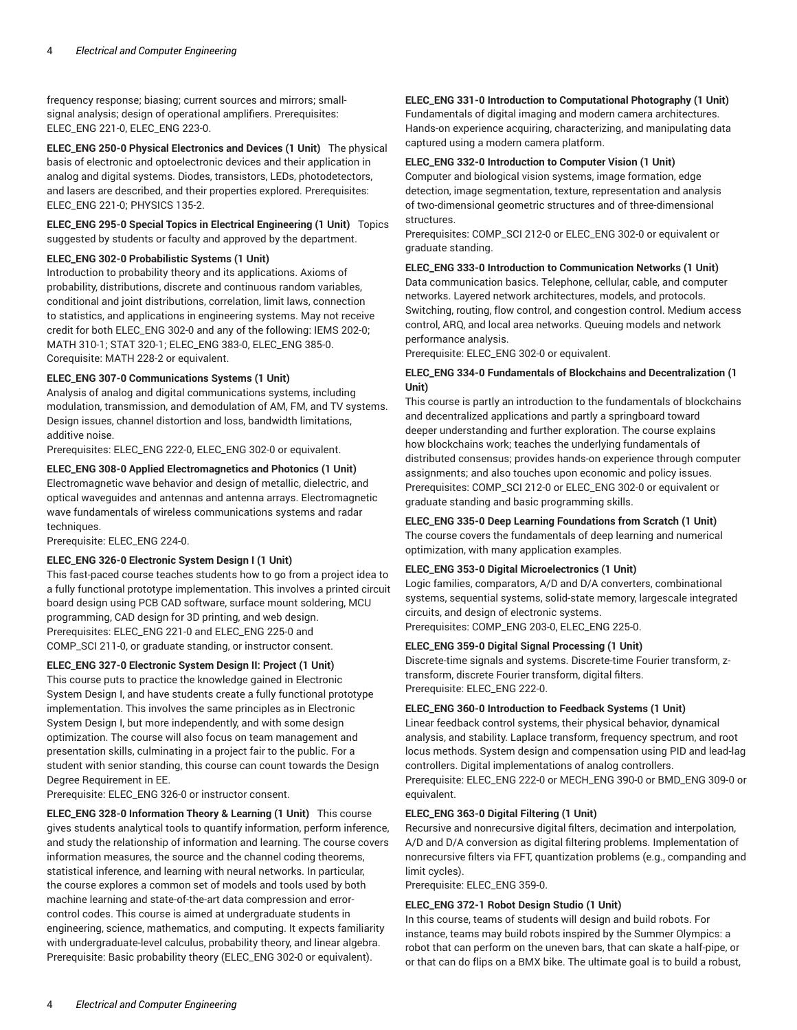frequency response; biasing; current sources and mirrors; smallsignal analysis; design of operational amplifiers. Prerequisites: ELEC\_ENG 221-0, ELEC\_ENG 223-0.

**ELEC\_ENG 250-0 Physical Electronics and Devices (1 Unit)** The physical basis of electronic and optoelectronic devices and their application in analog and digital systems. Diodes, transistors, LEDs, photodetectors, and lasers are described, and their properties explored. Prerequisites: ELEC\_ENG 221-0; PHYSICS 135-2.

### **ELEC\_ENG 295-0 Special Topics in Electrical Engineering (1 Unit)** Topics

suggested by students or faculty and approved by the department.

### **ELEC\_ENG 302-0 Probabilistic Systems (1 Unit)**

Introduction to probability theory and its applications. Axioms of probability, distributions, discrete and continuous random variables, conditional and joint distributions, correlation, limit laws, connection to statistics, and applications in engineering systems. May not receive credit for both ELEC\_ENG 302-0 and any of the following: IEMS 202-0; MATH 310-1; STAT 320-1; ELEC\_ENG 383-0, ELEC\_ENG 385-0. Corequisite: MATH 228-2 or equivalent.

### **ELEC\_ENG 307-0 Communications Systems (1 Unit)**

Analysis of analog and digital communications systems, including modulation, transmission, and demodulation of AM, FM, and TV systems. Design issues, channel distortion and loss, bandwidth limitations, additive noise.

Prerequisites: ELEC\_ENG 222-0, ELEC\_ENG 302-0 or equivalent.

### **ELEC\_ENG 308-0 Applied Electromagnetics and Photonics (1 Unit)**

Electromagnetic wave behavior and design of metallic, dielectric, and optical waveguides and antennas and antenna arrays. Electromagnetic wave fundamentals of wireless communications systems and radar techniques.

Prerequisite: ELEC\_ENG 224-0.

### **ELEC\_ENG 326-0 Electronic System Design I (1 Unit)**

This fast-paced course teaches students how to go from a project idea to a fully functional prototype implementation. This involves a printed circuit board design using PCB CAD software, surface mount soldering, MCU programming, CAD design for 3D printing, and web design. Prerequisites: ELEC\_ENG 221-0 and ELEC\_ENG 225-0 and COMP\_SCI 211-0, or graduate standing, or instructor consent.

**ELEC\_ENG 327-0 Electronic System Design II: Project (1 Unit)** 

This course puts to practice the knowledge gained in Electronic System Design I, and have students create a fully functional prototype implementation. This involves the same principles as in Electronic System Design I, but more independently, and with some design optimization. The course will also focus on team management and presentation skills, culminating in a project fair to the public. For a student with senior standing, this course can count towards the Design Degree Requirement in EE.

Prerequisite: ELEC\_ENG 326-0 or instructor consent.

**ELEC\_ENG 328-0 Information Theory & Learning (1 Unit)** This course gives students analytical tools to quantify information, perform inference, and study the relationship of information and learning. The course covers information measures, the source and the channel coding theorems, statistical inference, and learning with neural networks. In particular, the course explores a common set of models and tools used by both machine learning and state-of-the-art data compression and errorcontrol codes. This course is aimed at undergraduate students in engineering, science, mathematics, and computing. It expects familiarity with undergraduate-level calculus, probability theory, and linear algebra. Prerequisite: Basic probability theory (ELEC\_ENG 302-0 or equivalent).

### **ELEC\_ENG 331-0 Introduction to Computational Photography (1 Unit)**

Fundamentals of digital imaging and modern camera architectures. Hands-on experience acquiring, characterizing, and manipulating data captured using a modern camera platform.

### **ELEC\_ENG 332-0 Introduction to Computer Vision (1 Unit)**

Computer and biological vision systems, image formation, edge detection, image segmentation, texture, representation and analysis of two-dimensional geometric structures and of three-dimensional structures.

Prerequisites: COMP\_SCI 212-0 or ELEC\_ENG 302-0 or equivalent or graduate standing.

### **ELEC\_ENG 333-0 Introduction to Communication Networks (1 Unit)**

Data communication basics. Telephone, cellular, cable, and computer networks. Layered network architectures, models, and protocols. Switching, routing, flow control, and congestion control. Medium access control, ARQ, and local area networks. Queuing models and network performance analysis.

Prerequisite: ELEC\_ENG 302-0 or equivalent.

### **ELEC\_ENG 334-0 Fundamentals of Blockchains and Decentralization (1 Unit)**

This course is partly an introduction to the fundamentals of blockchains and decentralized applications and partly a springboard toward deeper understanding and further exploration. The course explains how blockchains work; teaches the underlying fundamentals of distributed consensus; provides hands-on experience through computer assignments; and also touches upon economic and policy issues. Prerequisites: COMP\_SCI 212-0 or ELEC\_ENG 302-0 or equivalent or graduate standing and basic programming skills.

### **ELEC\_ENG 335-0 Deep Learning Foundations from Scratch (1 Unit)**

The course covers the fundamentals of deep learning and numerical optimization, with many application examples.

### **ELEC\_ENG 353-0 Digital Microelectronics (1 Unit)**

Logic families, comparators, A/D and D/A converters, combinational systems, sequential systems, solid-state memory, largescale integrated circuits, and design of electronic systems. Prerequisites: COMP\_ENG 203-0, ELEC\_ENG 225-0.

### **ELEC\_ENG 359-0 Digital Signal Processing (1 Unit)**

Discrete-time signals and systems. Discrete-time Fourier transform, ztransform, discrete Fourier transform, digital filters. Prerequisite: ELEC\_ENG 222-0.

### **ELEC\_ENG 360-0 Introduction to Feedback Systems (1 Unit)**

Linear feedback control systems, their physical behavior, dynamical analysis, and stability. Laplace transform, frequency spectrum, and root locus methods. System design and compensation using PID and lead-lag controllers. Digital implementations of analog controllers.

Prerequisite: ELEC\_ENG 222-0 or MECH\_ENG 390-0 or BMD\_ENG 309-0 or equivalent.

### **ELEC\_ENG 363-0 Digital Filtering (1 Unit)**

Recursive and nonrecursive digital filters, decimation and interpolation, A/D and D/A conversion as digital filtering problems. Implementation of nonrecursive filters via FFT, quantization problems (e.g., companding and limit cycles).

Prerequisite: ELEC\_ENG 359-0.

### **ELEC\_ENG 372-1 Robot Design Studio (1 Unit)**

In this course, teams of students will design and build robots. For instance, teams may build robots inspired by the Summer Olympics: a robot that can perform on the uneven bars, that can skate a half-pipe, or or that can do flips on a BMX bike. The ultimate goal is to build a robust,